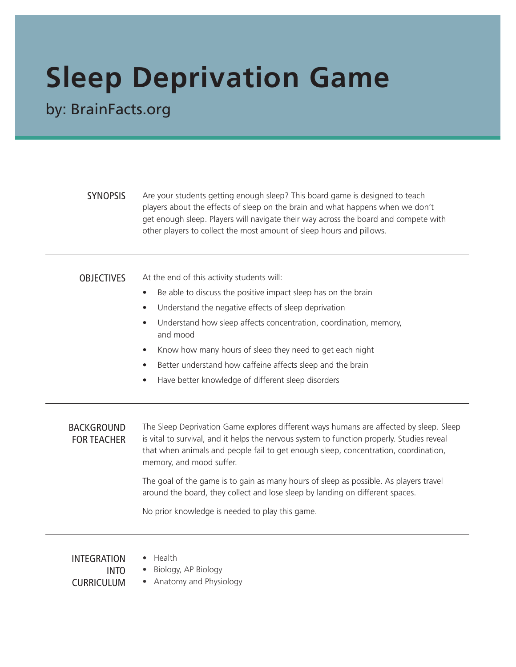# **Sleep Deprivation Game**

by: BrainFacts.org

SYNOPSIS Are your students getting enough sleep? This board game is designed to teach players about the effects of sleep on the brain and what happens when we don't get enough sleep. Players will navigate their way across the board and compete with other players to collect the most amount of sleep hours and pillows.

OBJECTIVES At the end of this activity students will:

- Be able to discuss the positive impact sleep has on the brain
- Understand the negative effects of sleep deprivation
- Understand how sleep affects concentration, coordination, memory, and mood
- Know how many hours of sleep they need to get each night
- Better understand how caffeine affects sleep and the brain
- Have better knowledge of different sleep disorders

BACKGROUND FOR TEACHER The Sleep Deprivation Game explores different ways humans are affected by sleep. Sleep is vital to survival, and it helps the nervous system to function properly. Studies reveal that when animals and people fail to get enough sleep, concentration, coordination, memory, and mood suffer.

> The goal of the game is to gain as many hours of sleep as possible. As players travel around the board, they collect and lose sleep by landing on different spaces.

No prior knowledge is needed to play this game.

INTEGRATION INTO CURRICUI UM • Health

- Biology, AP Biology
- Anatomy and Physiology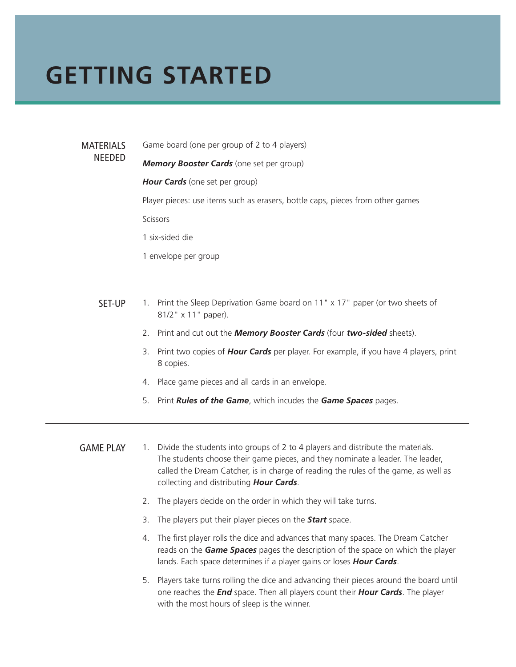#### **GETTING STARTED**

**MATERIALS** NEEDED

Game board (one per group of 2 to 4 players)

*Memory Booster Cards* (one set per group)

*Hour Cards* (one set per group)

Player pieces: use items such as erasers, bottle caps, pieces from other games

Scissors

1 six-sided die

1 envelope per group

- SET-UP 1. Print the Sleep Deprivation Game board on 11" x 17" paper (or two sheets of 81/2" x 11" paper).
	- 2. Print and cut out the *Memory Booster Cards* (four *two-sided* sheets).
	- 3. Print two copies of *Hour Cards* per player. For example, if you have 4 players, print 8 copies.
	- 4. Place game pieces and all cards in an envelope.
	- 5. Print *Rules of the Game*, which incudes the *Game Spaces* pages.
- GAME PLAY 1. Divide the students into groups of 2 to 4 players and distribute the materials. The students choose their game pieces, and they nominate a leader. The leader, called the Dream Catcher, is in charge of reading the rules of the game, as well as collecting and distributing *Hour Cards*.
	- 2. The players decide on the order in which they will take turns.
	- 3. The players put their player pieces on the *Start* space.
	- 4. The first player rolls the dice and advances that many spaces. The Dream Catcher reads on the *Game Spaces* pages the description of the space on which the player lands. Each space determines if a player gains or loses *Hour Cards*.
	- 5. Players take turns rolling the dice and advancing their pieces around the board until one reaches the *End* space. Then all players count their *Hour Cards*. The player with the most hours of sleep is the winner.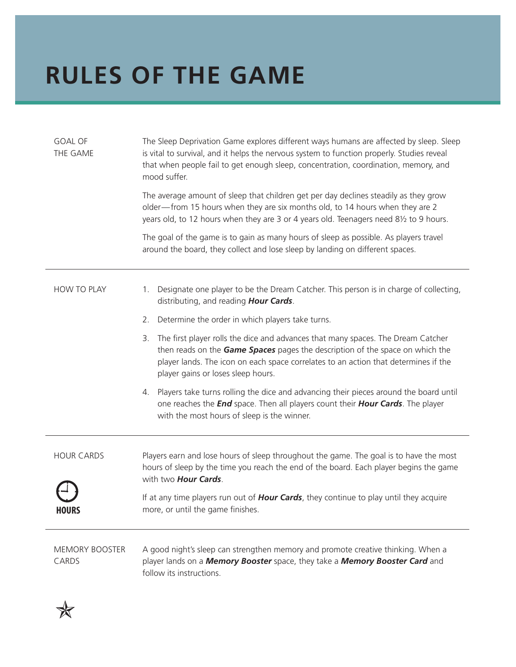### **RULES OF THE GAME**

| <b>GOAL OF</b><br>THE GAME     | The Sleep Deprivation Game explores different ways humans are affected by sleep. Sleep<br>is vital to survival, and it helps the nervous system to function properly. Studies reveal<br>that when people fail to get enough sleep, concentration, coordination, memory, and<br>mood suffer.          |
|--------------------------------|------------------------------------------------------------------------------------------------------------------------------------------------------------------------------------------------------------------------------------------------------------------------------------------------------|
|                                | The average amount of sleep that children get per day declines steadily as they grow<br>older-from 15 hours when they are six months old, to 14 hours when they are 2<br>years old, to 12 hours when they are 3 or 4 years old. Teenagers need 81/2 to 9 hours.                                      |
|                                | The goal of the game is to gain as many hours of sleep as possible. As players travel<br>around the board, they collect and lose sleep by landing on different spaces.                                                                                                                               |
| HOW TO PLAY                    | Designate one player to be the Dream Catcher. This person is in charge of collecting,<br>1.<br>distributing, and reading Hour Cards.                                                                                                                                                                 |
|                                | Determine the order in which players take turns.<br>2.                                                                                                                                                                                                                                               |
|                                | The first player rolls the dice and advances that many spaces. The Dream Catcher<br>3.<br>then reads on the Game Spaces pages the description of the space on which the<br>player lands. The icon on each space correlates to an action that determines if the<br>player gains or loses sleep hours. |
|                                | Players take turns rolling the dice and advancing their pieces around the board until<br>4.<br>one reaches the <i>End</i> space. Then all players count their <i>Hour Cards</i> . The player<br>with the most hours of sleep is the winner.                                                          |
| <b>HOUR CARDS</b><br>כחטטח     | Players earn and lose hours of sleep throughout the game. The goal is to have the most<br>hours of sleep by the time you reach the end of the board. Each player begins the game<br>with two <b>Hour Cards</b> .                                                                                     |
|                                | If at any time players run out of <b>Hour Cards</b> , they continue to play until they acquire<br>more, or until the game finishes.                                                                                                                                                                  |
| <b>MEMORY BOOSTER</b><br>CARDS | A good night's sleep can strengthen memory and promote creative thinking. When a<br>player lands on a Memory Booster space, they take a Memory Booster Card and<br>follow its instructions.                                                                                                          |

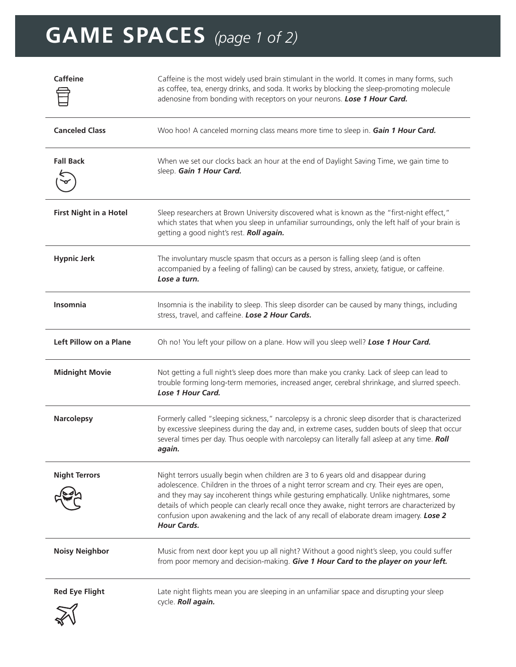## **GAME SPACES** *(page 1 of 2)*

| <b>Caffeine</b>               | Caffeine is the most widely used brain stimulant in the world. It comes in many forms, such<br>as coffee, tea, energy drinks, and soda. It works by blocking the sleep-promoting molecule<br>adenosine from bonding with receptors on your neurons. Lose 1 Hour Card.                                                                                                                                                                                                                           |
|-------------------------------|-------------------------------------------------------------------------------------------------------------------------------------------------------------------------------------------------------------------------------------------------------------------------------------------------------------------------------------------------------------------------------------------------------------------------------------------------------------------------------------------------|
| <b>Canceled Class</b>         | Woo hoo! A canceled morning class means more time to sleep in. Gain 1 Hour Card.                                                                                                                                                                                                                                                                                                                                                                                                                |
| <b>Fall Back</b>              | When we set our clocks back an hour at the end of Daylight Saving Time, we gain time to<br>sleep. Gain 1 Hour Card.                                                                                                                                                                                                                                                                                                                                                                             |
| <b>First Night in a Hotel</b> | Sleep researchers at Brown University discovered what is known as the "first-night effect,"<br>which states that when you sleep in unfamiliar surroundings, only the left half of your brain is<br>getting a good night's rest. Roll again.                                                                                                                                                                                                                                                     |
| <b>Hypnic Jerk</b>            | The involuntary muscle spasm that occurs as a person is falling sleep (and is often<br>accompanied by a feeling of falling) can be caused by stress, anxiety, fatigue, or caffeine.<br>Lose a turn.                                                                                                                                                                                                                                                                                             |
| <b>Insomnia</b>               | Insomnia is the inability to sleep. This sleep disorder can be caused by many things, including<br>stress, travel, and caffeine. Lose 2 Hour Cards.                                                                                                                                                                                                                                                                                                                                             |
| Left Pillow on a Plane        | Oh no! You left your pillow on a plane. How will you sleep well? Lose 1 Hour Card.                                                                                                                                                                                                                                                                                                                                                                                                              |
| <b>Midnight Movie</b>         | Not getting a full night's sleep does more than make you cranky. Lack of sleep can lead to<br>trouble forming long-term memories, increased anger, cerebral shrinkage, and slurred speech.<br>Lose 1 Hour Card.                                                                                                                                                                                                                                                                                 |
| <b>Narcolepsy</b>             | Formerly called "sleeping sickness," narcolepsy is a chronic sleep disorder that is characterized<br>by excessive sleepiness during the day and, in extreme cases, sudden bouts of sleep that occur<br>several times per day. Thus oeople with narcolepsy can literally fall asleep at any time. Roll<br>again.                                                                                                                                                                                 |
| <b>Night Terrors</b>          | Night terrors usually begin when children are 3 to 6 years old and disappear during<br>adolescence. Children in the throes of a night terror scream and cry. Their eyes are open,<br>and they may say incoherent things while gesturing emphatically. Unlike nightmares, some<br>details of which people can clearly recall once they awake, night terrors are characterized by<br>confusion upon awakening and the lack of any recall of elaborate dream imagery. Lose 2<br><b>Hour Cards.</b> |
| <b>Noisy Neighbor</b>         | Music from next door kept you up all night? Without a good night's sleep, you could suffer<br>from poor memory and decision-making. Give 1 Hour Card to the player on your left.                                                                                                                                                                                                                                                                                                                |
| <b>Red Eye Flight</b>         | Late night flights mean you are sleeping in an unfamiliar space and disrupting your sleep<br>cycle. Roll again.                                                                                                                                                                                                                                                                                                                                                                                 |